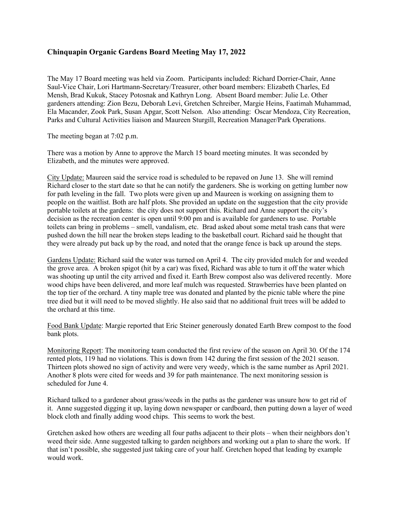## **Chinquapin Organic Gardens Board Meeting May 17, 2022**

The May 17 Board meeting was held via Zoom. Participants included: Richard Dorrier-Chair, Anne Saul-Vice Chair, Lori Hartmann-Secretary/Treasurer, other board members: Elizabeth Charles, Ed Mensh, Brad Kukuk, Stacey Potosnak and Kathryn Long. Absent Board member: Julie Le. Other gardeners attending: Zion Bezu, Deborah Levi, Gretchen Schreiber, Margie Heins, Faatimah Muhammad, Ela Macander, Zook Park, Susan Apgar, Scott Nelson. Also attending: Oscar Mendoza, City Recreation, Parks and Cultural Activities liaison and Maureen Sturgill, Recreation Manager/Park Operations.

The meeting began at 7:02 p.m.

There was a motion by Anne to approve the March 15 board meeting minutes. It was seconded by Elizabeth, and the minutes were approved.

City Update: Maureen said the service road is scheduled to be repaved on June 13. She will remind Richard closer to the start date so that he can notify the gardeners. She is working on getting lumber now for path leveling in the fall. Two plots were given up and Maureen is working on assigning them to people on the waitlist. Both are half plots. She provided an update on the suggestion that the city provide portable toilets at the gardens: the city does not support this. Richard and Anne support the city's decision as the recreation center is open until 9:00 pm and is available for gardeners to use. Portable toilets can bring in problems – smell, vandalism, etc. Brad asked about some metal trash cans that were pushed down the hill near the broken steps leading to the basketball court. Richard said he thought that they were already put back up by the road, and noted that the orange fence is back up around the steps.

Gardens Update: Richard said the water was turned on April 4. The city provided mulch for and weeded the grove area. A broken spigot (hit by a car) was fixed, Richard was able to turn it off the water which was shooting up until the city arrived and fixed it. Earth Brew compost also was delivered recently. More wood chips have been delivered, and more leaf mulch was requested. Strawberries have been planted on the top tier of the orchard. A tiny maple tree was donated and planted by the picnic table where the pine tree died but it will need to be moved slightly. He also said that no additional fruit trees will be added to the orchard at this time.

Food Bank Update: Margie reported that Eric Steiner generously donated Earth Brew compost to the food bank plots.

Monitoring Report: The monitoring team conducted the first review of the season on April 30. Of the 174 rented plots, 119 had no violations. This is down from 142 during the first session of the 2021 season. Thirteen plots showed no sign of activity and were very weedy, which is the same number as April 2021. Another 8 plots were cited for weeds and 39 for path maintenance. The next monitoring session is scheduled for June 4.

Richard talked to a gardener about grass/weeds in the paths as the gardener was unsure how to get rid of it. Anne suggested digging it up, laying down newspaper or cardboard, then putting down a layer of weed block cloth and finally adding wood chips. This seems to work the best.

Gretchen asked how others are weeding all four paths adjacent to their plots – when their neighbors don't weed their side. Anne suggested talking to garden neighbors and working out a plan to share the work. If that isn't possible, she suggested just taking care of your half. Gretchen hoped that leading by example would work.